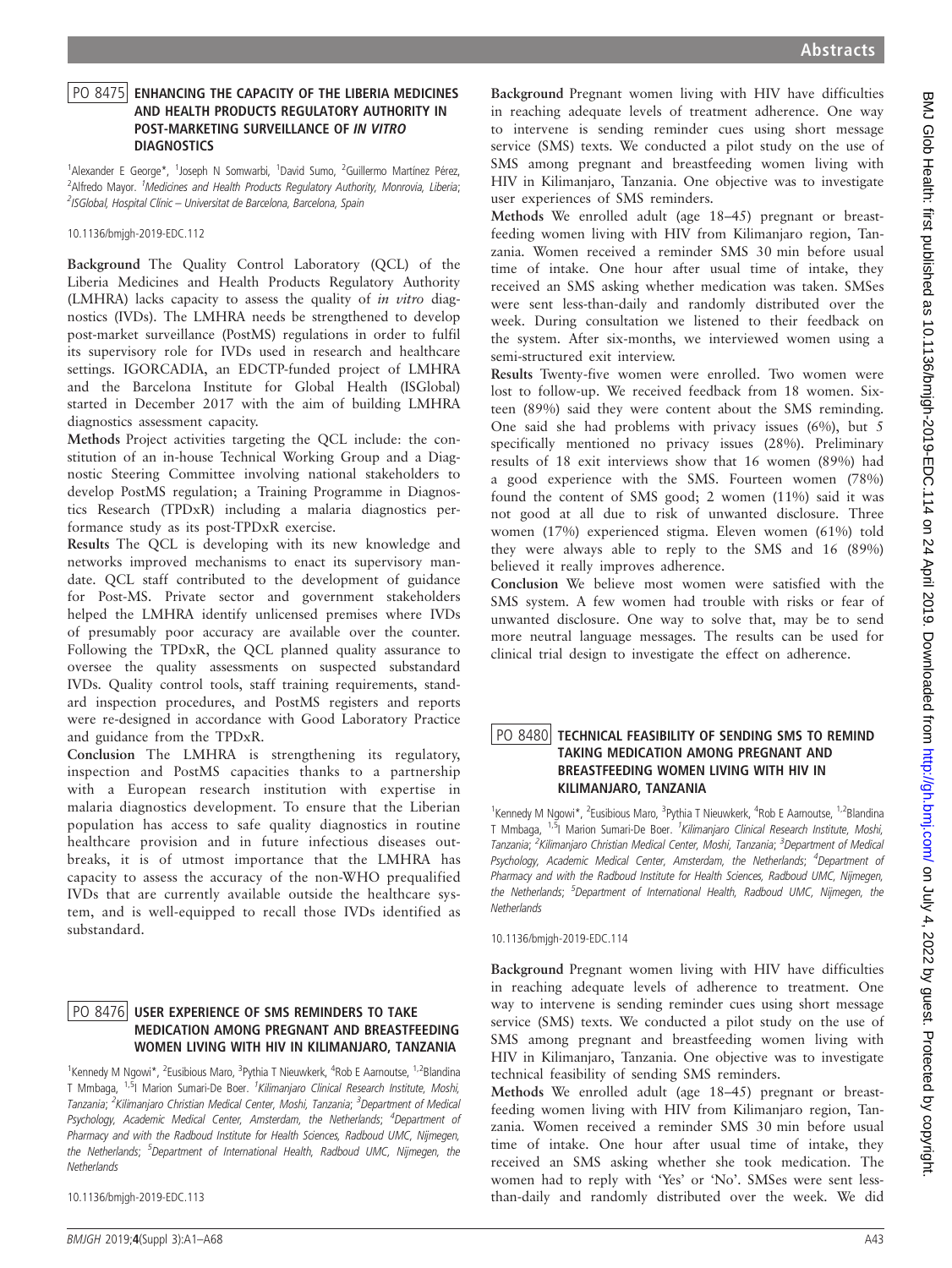# PO 8475 ENHANCING THE CAPACITY OF THE LIBERIA MEDICINES<br>AND HEALTH PRODUCTS REGULATORY AUTHORITY IN POST-MARKETING SURVEILLANCE OF *IN VITRO*<br>DIAGNOSTICS

1<br>Alexander E George\*, <sup>1</sup>Joseph N Somwarbi, <sup>1</sup>David Sumo, <sup>2</sup>Guillermo Martínez Pérez, <sup>2</sup> Alfredo Mayor. <sup>1</sup> Medicines and Health Products Regulatory Authority, Monrovia, Liberia; <sup>2</sup>ISGlobal, Hospital Clínic – Universitat de Barcelona, Barcelona, Spain

10.1136/bmjgh-2019-EDC.112

Background The Quality Control Laboratory (QCL) of the Liberia Medicines and Health Products Regulatory Authority (LMHRA) lacks capacity to assess the quality of in vitro diagnostics (IVDs). The LMHRA needs be strengthened to develop post-market surveillance (PostMS) regulations in order to fulfil its supervisory role for IVDs used in research and healthcare settings. IGORCADIA, an EDCTP-funded project of LMHRA and the Barcelona Institute for Global Health (ISGlobal) started in December 2017 with the aim of building LMHRA diagnostics assessment capacity.

Methods Project activities targeting the QCL include: the constitution of an in-house Technical Working Group and a Diagnostic Steering Committee involving national stakeholders to develop PostMS regulation; a Training Programme in Diagnostics Research (TPDxR) including a malaria diagnostics performance study as its post-TPDxR exercise.

Results The QCL is developing with its new knowledge and networks improved mechanisms to enact its supervisory mandate. QCL staff contributed to the development of guidance for Post-MS. Private sector and government stakeholders helped the LMHRA identify unlicensed premises where IVDs of presumably poor accuracy are available over the counter. Following the TPDxR, the QCL planned quality assurance to oversee the quality assessments on suspected substandard IVDs. Quality control tools, staff training requirements, standard inspection procedures, and PostMS registers and reports were re-designed in accordance with Good Laboratory Practice and guidance from the TPDxR.

Conclusion The LMHRA is strengthening its regulatory, inspection and PostMS capacities thanks to a partnership with a European research institution with expertise in malaria diagnostics development. To ensure that the Liberian population has access to safe quality diagnostics in routine healthcare provision and in future infectious diseases outbreaks, it is of utmost importance that the LMHRA has capacity to assess the accuracy of the non-WHO prequalified IVDs that are currently available outside the healthcare system, and is well-equipped to recall those IVDs identified as substandard.

### PO 8476 USER EXPERIENCE OF SMS REMINDERS TO TAKE<br>MEDICATION AMONG PREGNANT AND BREASTFEEDING WOMEN LIVING WITH HIV IN KILIMANJARO, TANZANIA

1<br><sup>1</sup> Kennedy M Ngowi\*, <sup>2</sup> Eusibious Maro, <sup>3</sup> Pythia T Nieuwkerk, <sup>4</sup> Rob E Aarnoutse, <sup>1,2</sup> Blandina T Mmbaga, <sup>1,5</sup>I Marion Sumari-De Boer. <sup>1</sup> Kilimanjaro Clinical Research Institute, Moshi, Tanzania; <sup>2</sup>Kilimanjaro Christian Medical Center, Moshi, Tanzania; <sup>3</sup>Department of Medicai Psychology, Academic Medical Center, Amsterdam, the Netherlands; <sup>4</sup>Department of Pharmacy and with the Radboud Institute for Health Sciences, Radboud UMC, Nijmegen, the Netherlands; <sup>5</sup>Department of International Health, Radboud UMC, Nijmegen, the **Netherlands** 

10.1136/bmjgh-2019-EDC.113

Background Pregnant women living with HIV have difficulties in reaching adequate levels of treatment adherence. One way to intervene is sending reminder cues using short message service (SMS) texts. We conducted a pilot study on the use of SMS among pregnant and breastfeeding women living with HIV in Kilimanjaro, Tanzania. One objective was to investigate user experiences of SMS reminders. Methods We enrolled adult (age 18–45) pregnant or breast-

feeding women living with HIV from Kilimanjaro region, Tanzania. Women received a reminder SMS 30 min before usual time of intake. One hour after usual time of intake, they received an SMS asking whether medication was taken. SMSes were sent less-than-daily and randomly distributed over the week. During consultation we listened to their feedback on the system. After six-months, we interviewed women using a semi-structured exit interview.

Results Twenty-five women were enrolled. Two women were lost to follow-up. We received feedback from 18 women. Sixteen (89%) said they were content about the SMS reminding. One said she had problems with privacy issues (6%), but 5 specifically mentioned no privacy issues (28%). Preliminary results of 18 exit interviews show that 16 women (89%) had a good experience with the SMS. Fourteen women (78%) found the content of SMS good; 2 women (11%) said it was not good at all due to risk of unwanted disclosure. Three women (17%) experienced stigma. Eleven women (61%) told they were always able to reply to the SMS and 16 (89%) believed it really improves adherence.

Conclusion We believe most women were satisfied with the SMS system. A few women had trouble with risks or fear of unwanted disclosure. One way to solve that, may be to send more neutral language messages. The results can be used for clinical trial design to investigate the effect on adherence.

#### <u>PO 8480</u> TECHNICAL FEASIBILITY OF SENDING SMS TO REMIND<br>TAKING MEDICATION AMONG PREGNANT AND BREASTFEEDING WOMEN LIVING WITH HIV IN KILIMANJARO. TANZANIA

1<br><sup>1</sup> Kennedy M Ngowi\*, <sup>2</sup> Eusibious Maro, <sup>3</sup> Pythia T Nieuwkerk, <sup>4</sup> Rob E Aarnoutse, <sup>1,2</sup> Blandina T Mmbaga, <sup>1,5</sup>I Marion Sumari-De Boer. <sup>1</sup> Kilimanjaro Clinical Research Institute, Moshi, Tanzania; <sup>2</sup>Kilimanjaro Christian Medical Center, Moshi, Tanzania; <sup>3</sup>Department of Medical Psychology, Academic Medical Center, Amsterdam, the Netherlands; <sup>4</sup>Department of Pharmacy and with the Radboud Institute for Health Sciences, Radboud UMC, Nijmegen, the Netherlands; <sup>5</sup>Department of International Health, Radboud UMC, Nijmegen, the **Netherlands** 

10.1136/bmjgh-2019-EDC.114

Background Pregnant women living with HIV have difficulties in reaching adequate levels of adherence to treatment. One way to intervene is sending reminder cues using short message service (SMS) texts. We conducted a pilot study on the use of SMS among pregnant and breastfeeding women living with HIV in Kilimanjaro, Tanzania. One objective was to investigate technical feasibility of sending SMS reminders.

Methods We enrolled adult (age 18–45) pregnant or breastfeeding women living with HIV from Kilimanjaro region, Tanzania. Women received a reminder SMS 30 min before usual time of intake. One hour after usual time of intake, they received an SMS asking whether she took medication. The women had to reply with 'Yes' or 'No'. SMSes were sent lessthan-daily and randomly distributed over the week. We did